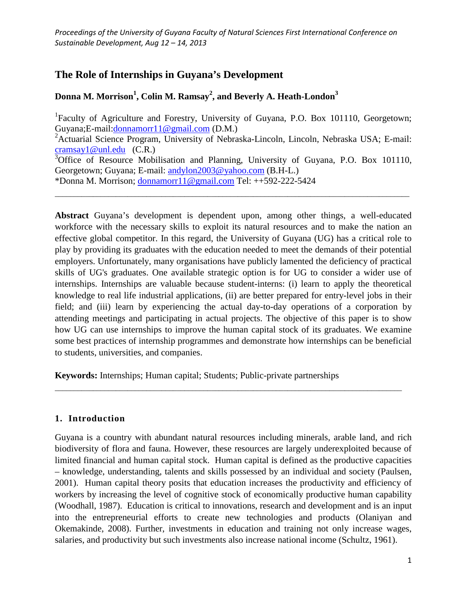# **The Role of Internships in Guyana's Development**

# **Donna M. Morrison<sup>1</sup> , Colin M. Ramsay2 , and Beverly A. Heath-London<sup>3</sup>**

<sup>1</sup>Faculty of Agriculture and Forestry, University of Guyana, P.O. Box 101110, Georgetown; Guyana;E-mail[:donnamorr11@gmail.com](mailto:donnamorr11@gmail.com) (D.M.)

<sup>2</sup> Actuarial Science Program, University of Nebraska-Lincoln, Lincoln, Nebraska USA; E-mail: [cramsay1@unl.edu](mailto:cramsay1@unl.edu) (C.R.)

<sup>3</sup>Office of Resource Mobilisation and Planning, University of Guyana, P.O. Box 101110, Georgetown; Guyana; E-mail: [andylon2003@yahoo.com](mailto:andylon2003@yahoo.com) (B.H-L.) \*Donna M. Morrison; [donnamorr11@gmail.com](mailto:donnamorr11@gmail.com) Tel: ++592-222-5424

\_\_\_\_\_\_\_\_\_\_\_\_\_\_\_\_\_\_\_\_\_\_\_\_\_\_\_\_\_\_\_\_\_\_\_\_\_\_\_\_\_\_\_\_\_\_\_\_\_\_\_\_\_\_\_\_\_\_\_\_\_\_\_\_\_\_\_\_\_\_\_\_\_\_\_\_\_\_\_\_\_\_\_\_\_\_\_\_\_\_\_\_\_

**Abstract** Guyana's development is dependent upon, among other things, a well-educated workforce with the necessary skills to exploit its natural resources and to make the nation an effective global competitor. In this regard, the University of Guyana (UG) has a critical role to play by providing its graduates with the education needed to meet the demands of their potential employers. Unfortunately, many organisations have publicly lamented the deficiency of practical skills of UG's graduates. One available strategic option is for UG to consider a wider use of internships. Internships are valuable because student-interns: (i) learn to apply the theoretical knowledge to real life industrial applications, (ii) are better prepared for entry-level jobs in their field; and (iii) learn by experiencing the actual day-to-day operations of a corporation by attending meetings and participating in actual projects. The objective of this paper is to show how UG can use internships to improve the human capital stock of its graduates. We examine some best practices of internship programmes and demonstrate how internships can be beneficial to students, universities, and companies.

**Keywords:** Internships; Human capital; Students; Public-private partnerships

# **1. Introduction**

Guyana is a country with abundant natural resources including minerals, arable land, and rich biodiversity of flora and fauna. However, these resources are largely underexploited because of limited financial and human capital stock. Human capital is defined as the productive capacities – knowledge, understanding, talents and skills possessed by an individual and society (Paulsen, 2001). Human capital theory posits that education increases the productivity and efficiency of workers by increasing the level of cognitive stock of economically productive human capability (Woodhall, 1987). Education is critical to innovations, research and development and is an input into the entrepreneurial efforts to create new technologies and products (Olaniyan and Okemakinde, 2008). Further, investments in education and training not only increase wages, salaries, and productivity but such investments also increase national income (Schultz, 1961).

\_\_\_\_\_\_\_\_\_\_\_\_\_\_\_\_\_\_\_\_\_\_\_\_\_\_\_\_\_\_\_\_\_\_\_\_\_\_\_\_\_\_\_\_\_\_\_\_\_\_\_\_\_\_\_\_\_\_\_\_\_\_\_\_\_\_\_\_\_\_\_\_\_\_\_\_\_\_\_\_\_\_\_\_\_\_\_\_\_\_\_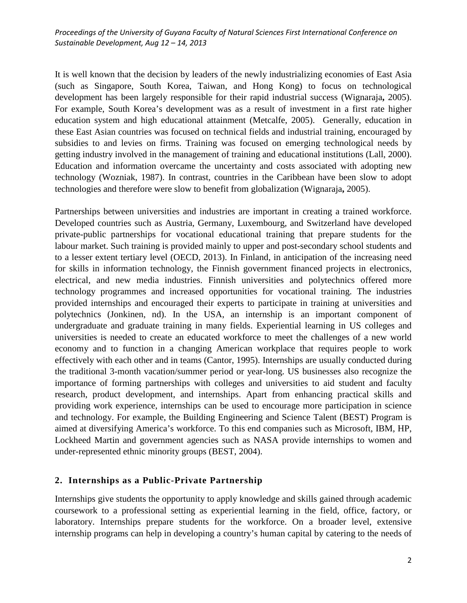It is well known that the decision by leaders of the newly industrializing economies of East Asia (such as Singapore, South Korea, Taiwan, and Hong Kong) to focus on technological development has been largely responsible for their rapid industrial success (Wignaraja**,** 2005). For example, South Korea's development was as a result of investment in a first rate higher education system and high educational attainment (Metcalfe, 2005). Generally, education in these East Asian countries was focused on technical fields and industrial training, encouraged by subsidies to and levies on firms. Training was focused on emerging technological needs by getting industry involved in the management of training and educational institutions (Lall, 2000). Education and information overcame the uncertainty and costs associated with adopting new technology (Wozniak, 1987). In contrast, countries in the Caribbean have been slow to adopt technologies and therefore were slow to benefit from globalization (Wignaraja**,** 2005).

Partnerships between universities and industries are important in creating a trained workforce. Developed countries such as Austria, Germany, Luxembourg, and Switzerland have developed private-public partnerships for vocational educational training that prepare students for the labour market. Such training is provided mainly to upper and post-secondary school students and to a lesser extent tertiary level (OECD, 2013). In Finland, in anticipation of the increasing need for skills in information technology, the Finnish government financed projects in electronics, electrical, and new media industries. Finnish universities and polytechnics offered more technology programmes and increased opportunities for vocational training. The industries provided internships and encouraged their experts to participate in training at universities and polytechnics (Jonkinen, nd). In the USA, an internship is an important component of undergraduate and graduate training in many fields. Experiential learning in US colleges and universities is needed to create an educated workforce to meet the challenges of a new world economy and to function in a changing American workplace that requires people to work effectively with each other and in teams (Cantor, 1995). Internships are usually conducted during the traditional 3-month vacation/summer period or year-long. US businesses also recognize the importance of forming partnerships with colleges and universities to aid student and faculty research, product development, and internships. Apart from enhancing practical skills and providing work experience, internships can be used to encourage more participation in science and technology. For example, the Building Engineering and Science Talent (BEST) Program is aimed at diversifying America's workforce. To this end companies such as Microsoft, IBM, HP, Lockheed Martin and government agencies such as NASA provide internships to women and under-represented ethnic minority groups (BEST, 2004).

#### **2. Internships as a Public-Private Partnership**

Internships give students the opportunity to apply knowledge and skills gained through academic coursework to a professional setting as experiential learning in the field, office, factory, or laboratory. Internships prepare students for the workforce. On a broader level, extensive internship programs can help in developing a country's human capital by catering to the needs of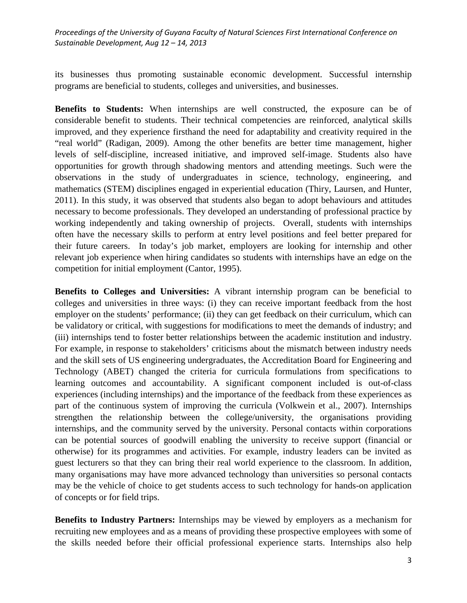its businesses thus promoting sustainable economic development. Successful internship programs are beneficial to students, colleges and universities, and businesses.

**Benefits to Students:** When internships are well constructed, the exposure can be of considerable benefit to students. Their technical competencies are reinforced, analytical skills improved, and they experience firsthand the need for adaptability and creativity required in the "real world" (Radigan, 2009). Among the other benefits are better time management, higher levels of self-discipline, increased initiative, and improved self-image. Students also have opportunities for growth through shadowing mentors and attending meetings. Such were the observations in the study of undergraduates in science, technology, engineering, and mathematics (STEM) disciplines engaged in experiential education (Thiry, Laursen, and Hunter, 2011). In this study, it was observed that students also began to adopt behaviours and attitudes necessary to become professionals. They developed an understanding of professional practice by working independently and taking ownership of projects. Overall, students with internships often have the necessary skills to perform at entry level positions and feel better prepared for their future careers. In today's job market, employers are looking for internship and other relevant job experience when hiring candidates so students with internships have an edge on the competition for initial employment (Cantor, 1995).

**Benefits to Colleges and Universities:** A vibrant internship program can be beneficial to colleges and universities in three ways: (i) they can receive important feedback from the host employer on the students' performance; (ii) they can get feedback on their curriculum, which can be validatory or critical, with suggestions for modifications to meet the demands of industry; and (iii) internships tend to foster better relationships between the academic institution and industry. For example, in response to stakeholders' criticisms about the mismatch between industry needs and the skill sets of US engineering undergraduates, the Accreditation Board for Engineering and Technology (ABET) changed the criteria for curricula formulations from specifications to learning outcomes and accountability. A significant component included is out-of-class experiences (including internships) and the importance of the feedback from these experiences as part of the continuous system of improving the curricula (Volkwein et al., 2007). Internships strengthen the relationship between the college/university, the organisations providing internships, and the community served by the university. Personal contacts within corporations can be potential sources of goodwill enabling the university to receive support (financial or otherwise) for its programmes and activities. For example, industry leaders can be invited as guest lecturers so that they can bring their real world experience to the classroom. In addition, many organisations may have more advanced technology than universities so personal contacts may be the vehicle of choice to get students access to such technology for hands-on application of concepts or for field trips.

**Benefits to Industry Partners:** Internships may be viewed by employers as a mechanism for recruiting new employees and as a means of providing these prospective employees with some of the skills needed before their official professional experience starts. Internships also help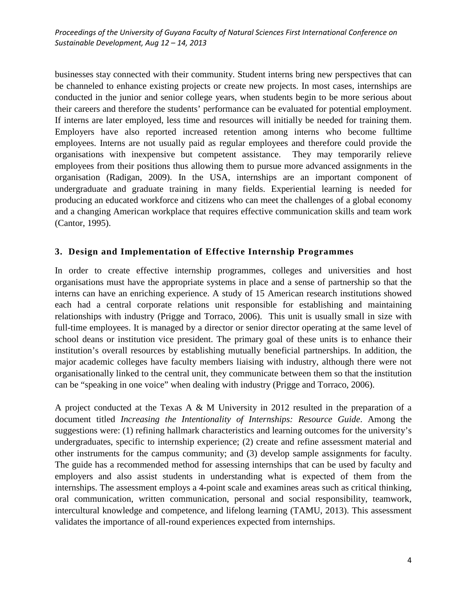businesses stay connected with their community. Student interns bring new perspectives that can be channeled to enhance existing projects or create new projects. In most cases, internships are conducted in the junior and senior college years, when students begin to be more serious about their careers and therefore the students' performance can be evaluated for potential employment. If interns are later employed, less time and resources will initially be needed for training them. Employers have also reported increased retention among interns who become fulltime employees. Interns are not usually paid as regular employees and therefore could provide the organisations with inexpensive but competent assistance. They may temporarily relieve employees from their positions thus allowing them to pursue more advanced assignments in the organisation (Radigan, 2009). In the USA, internships are an important component of undergraduate and graduate training in many fields. Experiential learning is needed for producing an educated workforce and citizens who can meet the challenges of a global economy and a changing American workplace that requires effective communication skills and team work (Cantor, 1995).

#### **3. Design and Implementation of Effective Internship Programmes**

In order to create effective internship programmes, colleges and universities and host organisations must have the appropriate systems in place and a sense of partnership so that the interns can have an enriching experience. A study of 15 American research institutions showed each had a central corporate relations unit responsible for establishing and maintaining relationships with industry (Prigge and Torraco, 2006). This unit is usually small in size with full-time employees. It is managed by a director or senior director operating at the same level of school deans or institution vice president. The primary goal of these units is to enhance their institution's overall resources by establishing mutually beneficial partnerships. In addition, the major academic colleges have faculty members liaising with industry, although there were not organisationally linked to the central unit, they communicate between them so that the institution can be "speaking in one voice" when dealing with industry (Prigge and Torraco, 2006).

A project conducted at the Texas A & M University in 2012 resulted in the preparation of a document titled *Increasing the Intentionality of Internships: Resource Guide*. Among the suggestions were: (1) refining hallmark characteristics and learning outcomes for the university's undergraduates, specific to internship experience; (2) create and refine assessment material and other instruments for the campus community; and (3) develop sample assignments for faculty. The guide has a recommended method for assessing internships that can be used by faculty and employers and also assist students in understanding what is expected of them from the internships. The assessment employs a 4-point scale and examines areas such as critical thinking, oral communication, written communication, personal and social responsibility, teamwork, intercultural knowledge and competence, and lifelong learning (TAMU, 2013). This assessment validates the importance of all-round experiences expected from internships.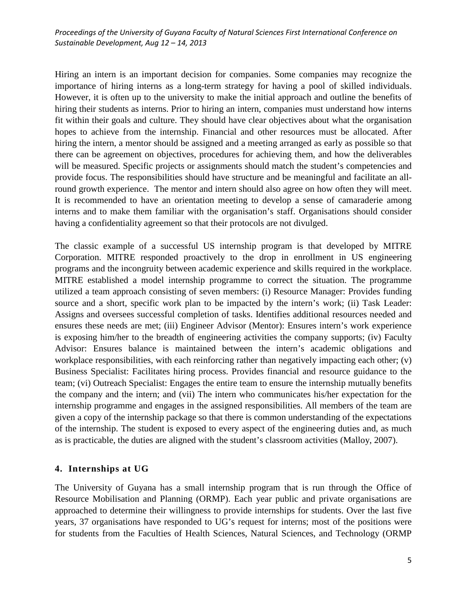Hiring an intern is an important decision for companies. Some companies may recognize the importance of hiring interns as a long-term strategy for having a pool of skilled individuals. However, it is often up to the university to make the initial approach and outline the benefits of hiring their students as interns. Prior to hiring an intern, companies must understand how interns fit within their goals and culture. They should have clear objectives about what the organisation hopes to achieve from the internship. Financial and other resources must be allocated. After hiring the intern, a mentor should be assigned and a meeting arranged as early as possible so that there can be agreement on objectives, procedures for achieving them, and how the deliverables will be measured. Specific projects or assignments should match the student's competencies and provide focus. The responsibilities should have structure and be meaningful and facilitate an allround growth experience. The mentor and intern should also agree on how often they will meet. It is recommended to have an orientation meeting to develop a sense of camaraderie among interns and to make them familiar with the organisation's staff. Organisations should consider having a confidentiality agreement so that their protocols are not divulged.

The classic example of a successful US internship program is that developed by MITRE Corporation. MITRE responded proactively to the drop in enrollment in US engineering programs and the incongruity between academic experience and skills required in the workplace. MITRE established a model internship programme to correct the situation. The programme utilized a team approach consisting of seven members: (i) Resource Manager: Provides funding source and a short, specific work plan to be impacted by the intern's work; (ii) Task Leader: Assigns and oversees successful completion of tasks. Identifies additional resources needed and ensures these needs are met; (iii) Engineer Advisor (Mentor): Ensures intern's work experience is exposing him/her to the breadth of engineering activities the company supports; (iv) Faculty Advisor: Ensures balance is maintained between the intern's academic obligations and workplace responsibilities, with each reinforcing rather than negatively impacting each other; (v) Business Specialist: Facilitates hiring process. Provides financial and resource guidance to the team; (vi) Outreach Specialist: Engages the entire team to ensure the internship mutually benefits the company and the intern; and (vii) The intern who communicates his/her expectation for the internship programme and engages in the assigned responsibilities. All members of the team are given a copy of the internship package so that there is common understanding of the expectations of the internship. The student is exposed to every aspect of the engineering duties and, as much as is practicable, the duties are aligned with the student's classroom activities (Malloy, 2007).

# **4. Internships at UG**

The University of Guyana has a small internship program that is run through the Office of Resource Mobilisation and Planning (ORMP). Each year public and private organisations are approached to determine their willingness to provide internships for students. Over the last five years, 37 organisations have responded to UG's request for interns; most of the positions were for students from the Faculties of Health Sciences, Natural Sciences, and Technology (ORMP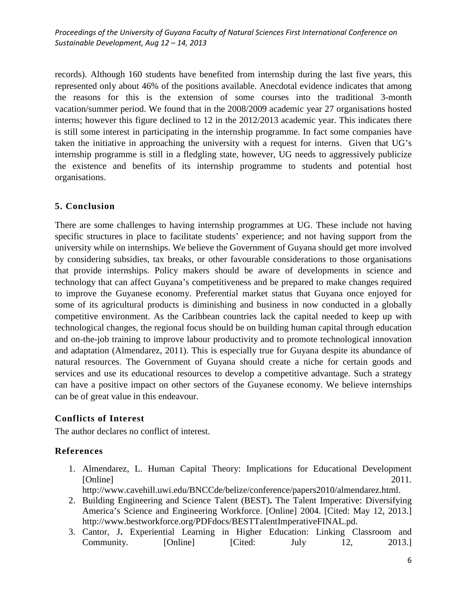records). Although 160 students have benefited from internship during the last five years, this represented only about 46% of the positions available. Anecdotal evidence indicates that among the reasons for this is the extension of some courses into the traditional 3-month vacation/summer period. We found that in the 2008/2009 academic year 27 organisations hosted interns; however this figure declined to 12 in the 2012/2013 academic year. This indicates there is still some interest in participating in the internship programme. In fact some companies have taken the initiative in approaching the university with a request for interns. Given that UG's internship programme is still in a fledgling state, however, UG needs to aggressively publicize the existence and benefits of its internship programme to students and potential host organisations.

# **5. Conclusion**

There are some challenges to having internship programmes at UG. These include not having specific structures in place to facilitate students' experience; and not having support from the university while on internships. We believe the Government of Guyana should get more involved by considering subsidies, tax breaks, or other favourable considerations to those organisations that provide internships. Policy makers should be aware of developments in science and technology that can affect Guyana's competitiveness and be prepared to make changes required to improve the Guyanese economy. Preferential market status that Guyana once enjoyed for some of its agricultural products is diminishing and business in now conducted in a globally competitive environment. As the Caribbean countries lack the capital needed to keep up with technological changes, the regional focus should be on building human capital through education and on-the-job training to improve labour productivity and to promote technological innovation and adaptation (Almendarez, 2011). This is especially true for Guyana despite its abundance of natural resources. The Government of Guyana should create a niche for certain goods and services and use its educational resources to develop a competitive advantage. Such a strategy can have a positive impact on other sectors of the Guyanese economy. We believe internships can be of great value in this endeavour.

# **Conflicts of Interest**

The author declares no conflict of interest.

# **References**

- 1. Almendarez, L. Human Capital Theory: Implications for Educational Development [Online] 2011*.*
	- http://www.cavehill.uwi.edu/BNCCde/belize/conference/papers2010/almendarez.html.
- 2. Building Engineering and Science Talent (BEST)**.** The Talent Imperative: Diversifying America's Science and Engineering Workforce. [Online] 2004. [Cited: May 12, 2013.] http://www.bestworkforce.org/PDFdocs/BESTTalentImperativeFINAL.pd.
- 3. Cantor, J**.** Experiential Learning in Higher Education: Linking Classroom and Community. [Online] [Cited: July 12, 2013.]